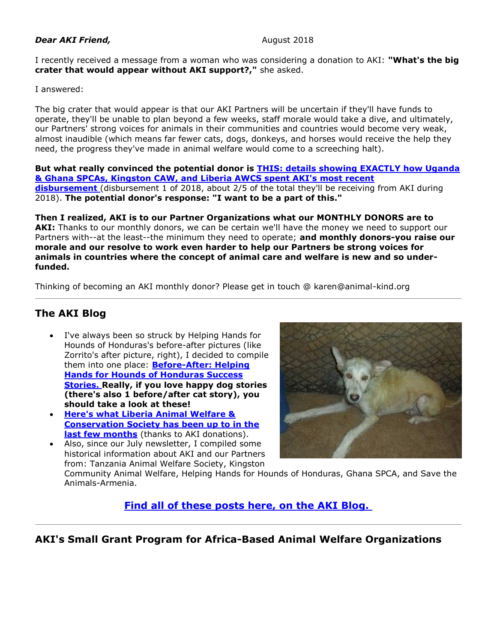#### **Dear AKI Friend, Contract 2018** August 2018

I recently received a message from a woman who was considering a donation to AKI: **"What's the big crater that would appear without AKI support?,"** she asked.

I answered:

The big crater that would appear is that our AKI Partners will be uncertain if they'll have funds to operate, they'll be unable to plan beyond a few weeks, staff morale would take a dive, and ultimately, our Partners' strong voices for animals in their communities and countries would become very weak, almost inaudible (which means far fewer cats, dogs, donkeys, and horses would receive the help they need, the progress they've made in animal welfare would come to a screeching halt).

**But what really convinced the potential donor is [THIS: details showing EXACTLY how Uganda](http://cts.vresp.com/c/?AnimalKindInternatio/b6789431ac/4d75da415c/7b5ccc247f)  [& Ghana SPCAs, Kingston CAW, and Liberia AWCS spent AKI's most recent](http://cts.vresp.com/c/?AnimalKindInternatio/b6789431ac/4d75da415c/7b5ccc247f)  [disbursement](http://cts.vresp.com/c/?AnimalKindInternatio/b6789431ac/4d75da415c/7b5ccc247f)** (disbursement 1 of 2018, about 2/5 of the total they'll be receiving from AKI during 2018). **The potential donor's response: "I want to be a part of this."**

**Then I realized, AKI is to our Partner Organizations what our MONTHLY DONORS are to**  AKI: Thanks to our monthly donors, we can be certain we'll have the money we need to support our Partners with--at the least--the minimum they need to operate; **and monthly donors-you raise our morale and our resolve to work even harder to help our Partners be strong voices for animals in countries where the concept of animal care and welfare is new and so underfunded.**

Thinking of becoming an AKI monthly donor? Please get in touch @ karen@animal-kind.org

## **The AKI Blog**

- I've always been so struck by Helping Hands for Hounds of Honduras's before-after pictures (like Zorrito's after picture, right), I decided to compile them into one place: **[Before-After: Helping](http://cts.vresp.com/c/?AnimalKindInternatio/b6789431ac/4d75da415c/50189a7ae5)  [Hands for Hounds of Honduras Success](http://cts.vresp.com/c/?AnimalKindInternatio/b6789431ac/4d75da415c/50189a7ae5)  [Stories.](http://cts.vresp.com/c/?AnimalKindInternatio/b6789431ac/4d75da415c/50189a7ae5) Really, if you love happy dog stories (there's also 1 before/after cat story), you should take a look at these!**
- **[Here's what Liberia Animal Welfare &](http://cts.vresp.com/c/?AnimalKindInternatio/b6789431ac/4d75da415c/489a219fa5)  [Conservation Society has been up to in the](http://cts.vresp.com/c/?AnimalKindInternatio/b6789431ac/4d75da415c/489a219fa5)  [last few months](http://cts.vresp.com/c/?AnimalKindInternatio/b6789431ac/4d75da415c/489a219fa5)** (thanks to AKI donations).
- Also, since our July newsletter, I compiled some historical information about AKI and our Partners from: Tanzania Animal Welfare Society, Kingston



Community Animal Welfare, Helping Hands for Hounds of Honduras, Ghana SPCA, and Save the Animals-Armenia.

**[Find all of these posts here, on the AKI Blog.](http://cts.vresp.com/c/?AnimalKindInternatio/b6789431ac/4d75da415c/fce39f264f)**

#### **AKI's Small Grant Program for Africa-Based Animal Welfare Organizations**